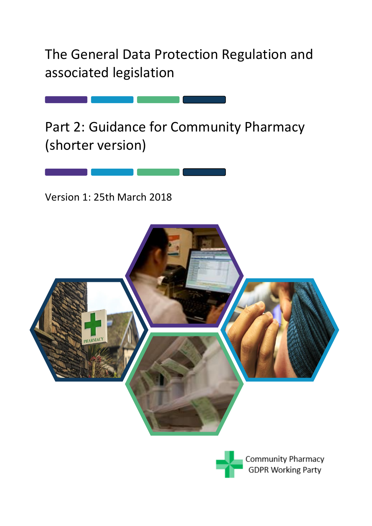The General Data Protection Regulation and associated legislation

Part 2: Guidance for Community Pharmacy (shorter version)

Version 1: 25th March 2018



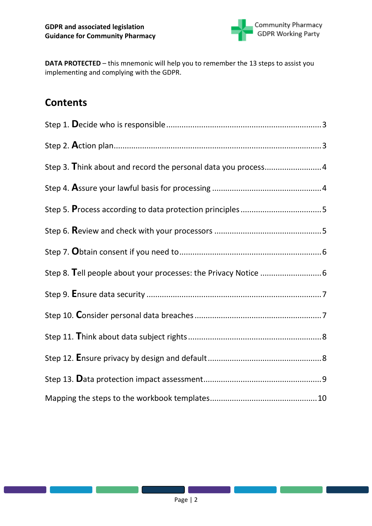

**DATA PROTECTED** – this mnemonic will help you to remember the 13 steps to assist you implementing and complying with the GDPR.

# **Contents**

| Step 3. Think about and record the personal data you process 4 |  |
|----------------------------------------------------------------|--|
|                                                                |  |
|                                                                |  |
|                                                                |  |
|                                                                |  |
|                                                                |  |
|                                                                |  |
|                                                                |  |
|                                                                |  |
|                                                                |  |
|                                                                |  |
|                                                                |  |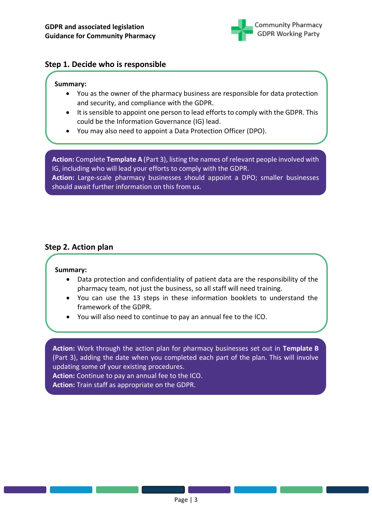

### <span id="page-2-0"></span>**Step 1. Decide who is responsible**

#### **Summary:**

- You as the owner of the pharmacy business are responsible for data protection and security, and compliance with the GDPR.
- It is sensible to appoint one person to lead efforts to comply with the GDPR. This could be the Information Governance (IG) lead.
- You may also need to appoint a Data Protection Officer (DPO).

**Action:** Complete **Template A** (Part 3), listing the names of relevant people involved with IG, including who will lead your efforts to comply with the GDPR. **Action:** Large-scale pharmacy businesses should appoint a DPO; smaller businesses

should await further information on this from us.

### <span id="page-2-1"></span>**Step 2. Action plan**

#### **Summary:**

- Data protection and confidentiality of patient data are the responsibility of the pharmacy team, not just the business, so all staff will need training.
- You can use the 13 steps in these information booklets to understand the framework of the GDPR.
- You will also need to continue to pay an annual fee to the ICO.

**Action:** Work through the action plan for pharmacy businesses set out in **Template B**  (Part 3), adding the date when you completed each part of the plan. This will involve updating some of your existing procedures.

**Action:** Continue to pay an annual fee to the ICO.

**Action:** Train staff as appropriate on the GDPR.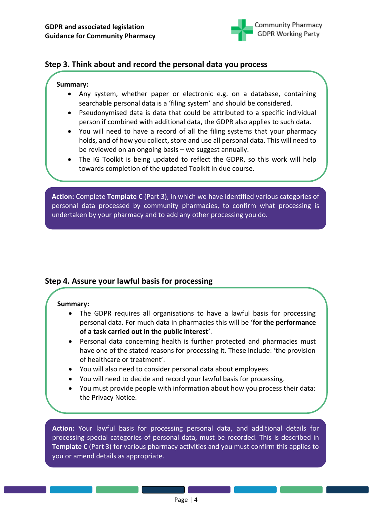

### <span id="page-3-0"></span>**Step 3. Think about and record the personal data you process**

#### **Summary:**

- Any system, whether paper or electronic e.g. on a database, containing searchable personal data is a 'filing system' and should be considered.
- Pseudonymised data is data that could be attributed to a specific individual person if combined with additional data, the GDPR also applies to such data.
- You will need to have a record of all the filing systems that your pharmacy holds, and of how you collect, store and use all personal data. This will need to be reviewed on an ongoing basis – we suggest annually.
- The IG Toolkit is being updated to reflect the GDPR, so this work will help towards completion of the updated Toolkit in due course.

**Action:** Complete **Template C** (Part 3), in which we have identified various categories of personal data processed by community pharmacies, to confirm what processing is undertaken by your pharmacy and to add any other processing you do.

### <span id="page-3-1"></span>**Step 4. Assure your lawful basis for processing**

### **Summary:**

- The GDPR requires all organisations to have a lawful basis for processing personal data. For much data in pharmacies this will be '**for the performance of a task carried out in the public interest**'.
- Personal data concerning health is further protected and pharmacies must have one of the stated reasons for processing it. These include: 'the provision of healthcare or treatment'.
- You will also need to consider personal data about employees.
- You will need to decide and record your lawful basis for processing.
- You must provide people with information about how you process their data: the Privacy Notice.

**Action:** Your lawful basis for processing personal data, and additional details for processing special categories of personal data, must be recorded. This is described in **Template C** (Part 3) for various pharmacy activities and you must confirm this applies to you or amend details as appropriate.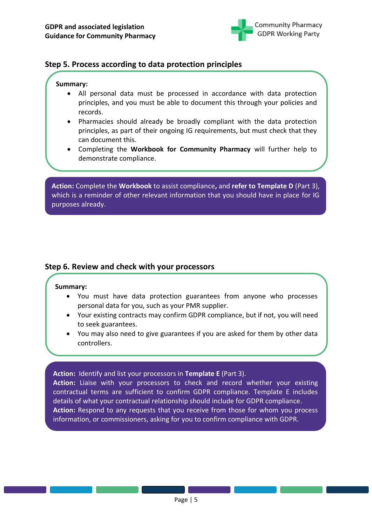

### <span id="page-4-0"></span>**Step 5. Process according to data protection principles**

#### **Summary:**

- All personal data must be processed in accordance with data protection principles, and you must be able to document this through your policies and records.
- Pharmacies should already be broadly compliant with the data protection principles, as part of their ongoing IG requirements, but must check that they can document this.
- Completing the **Workbook for Community Pharmacy** will further help to demonstrate compliance.

**Action:** Complete the **Workbook** to assist compliance**,** and **refer to Template D** (Part 3), which is a reminder of other relevant information that you should have in place for IG purposes already.

### <span id="page-4-1"></span>**Step 6. Review and check with your processors**

#### **Summary:**

- You must have data protection guarantees from anyone who processes personal data for you, such as your PMR supplier.
- Your existing contracts may confirm GDPR compliance, but if not, you will need to seek guarantees.
- You may also need to give guarantees if you are asked for them by other data controllers.

**Action:** Identify and list your processors in **Template E** (Part 3).

**Action:** Liaise with your processors to check and record whether your existing contractual terms are sufficient to confirm GDPR compliance. Template E includes details of what your contractual relationship should include for GDPR compliance. **Action:** Respond to any requests that you receive from those for whom you process information, or commissioners, asking for you to confirm compliance with GDPR.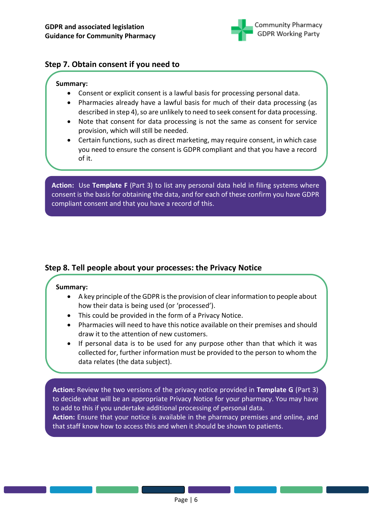

### <span id="page-5-0"></span>**Step 7. Obtain consent if you need to**

#### **Summary:**

- Consent or explicit consent is a lawful basis for processing personal data.
- Pharmacies already have a lawful basis for much of their data processing (as described in step 4), so are unlikely to need to seek consent for data processing.
- Note that consent for data processing is not the same as consent for service provision, which will still be needed.
- Certain functions, such as direct marketing, may require consent, in which case you need to ensure the consent is GDPR compliant and that you have a record of it.

**Action:** Use **Template F** (Part 3) to list any personal data held in filing systems where consent is the basis for obtaining the data, and for each of these confirm you have GDPR compliant consent and that you have a record of this.

### <span id="page-5-1"></span>**Step 8. Tell people about your processes: the Privacy Notice**

#### **Summary:**

- A key principle of the GDPR is the provision of clear information to people about how their data is being used (or 'processed').
- This could be provided in the form of a Privacy Notice.
- Pharmacies will need to have this notice available on their premises and should draw it to the attention of new customers.
- If personal data is to be used for any purpose other than that which it was collected for, further information must be provided to the person to whom the data relates (the data subject).

**Action:** Review the two versions of the privacy notice provided in **Template G** (Part 3) to decide what will be an appropriate Privacy Notice for your pharmacy. You may have to add to this if you undertake additional processing of personal data.

**Action:** Ensure that your notice is available in the pharmacy premises and online, and that staff know how to access this and when it should be shown to patients.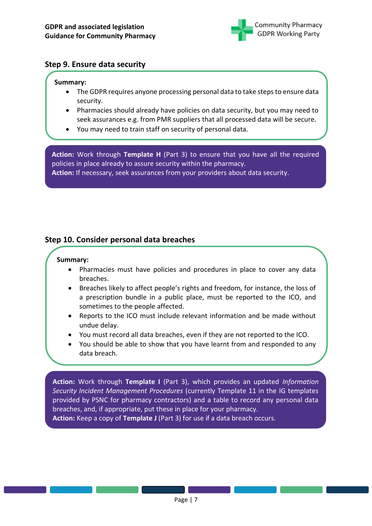

### <span id="page-6-0"></span>**Step 9. Ensure data security**

#### **Summary:**

- The GDPR requires anyone processing personal data to take steps to ensure data security.
- Pharmacies should already have policies on data security, but you may need to seek assurances e.g. from PMR suppliers that all processed data will be secure.
- You may need to train staff on security of personal data.

**Action:** Work through **Template H** (Part 3) to ensure that you have all the required policies in place already to assure security within the pharmacy. **Action:** If necessary, seek assurances from your providers about data security.

### <span id="page-6-1"></span>**Step 10. Consider personal data breaches**

#### **Summary:**

- Pharmacies must have policies and procedures in place to cover any data breaches.
- Breaches likely to affect people's rights and freedom, for instance, the loss of a prescription bundle in a public place, must be reported to the ICO, and sometimes to the people affected.
- Reports to the ICO must include relevant information and be made without undue delay.
- You must record all data breaches, even if they are not reported to the ICO.
- You should be able to show that you have learnt from and responded to any data breach.

**Action:** Work through **Template I** (Part 3), which provides an updated *Information Security Incident Management Procedures* (currently Template 11 in the IG templates provided by PSNC for pharmacy contractors) and a table to record any personal data breaches, and, if appropriate, put these in place for your pharmacy. **Action:** Keep a copy of **Template J** (Part 3) for use if a data breach occurs.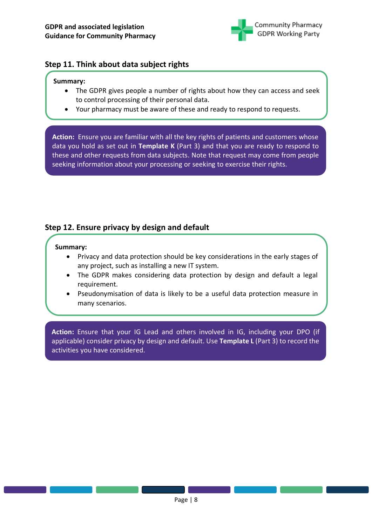

## <span id="page-7-0"></span>**Step 11. Think about data subject rights**

#### **Summary:**

- The GDPR gives people a number of rights about how they can access and seek to control processing of their personal data.
- Your pharmacy must be aware of these and ready to respond to requests.

**Action:** Ensure you are familiar with all the key rights of patients and customers whose data you hold as set out in **Template K** (Part 3) and that you are ready to respond to these and other requests from data subjects. Note that request may come from people seeking information about your processing or seeking to exercise their rights.

# <span id="page-7-1"></span>**Step 12. Ensure privacy by design and default**

#### **Summary:**

- Privacy and data protection should be key considerations in the early stages of any project, such as installing a new IT system.
- The GDPR makes considering data protection by design and default a legal requirement.
- Pseudonymisation of data is likely to be a useful data protection measure in many scenarios.

**Action:** Ensure that your IG Lead and others involved in IG, including your DPO (if applicable) consider privacy by design and default. Use **Template L** (Part 3) to record the activities you have considered.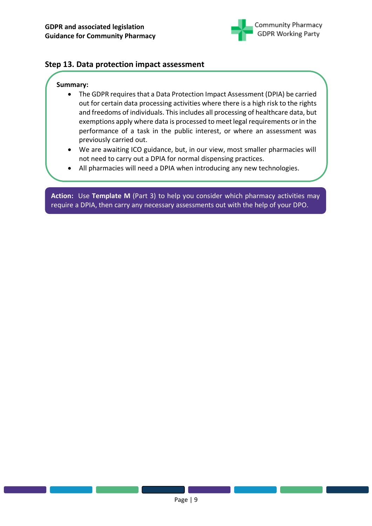

### <span id="page-8-0"></span>**Step 13. Data protection impact assessment**

#### **Summary:**

- The GDPR requires that a Data Protection Impact Assessment (DPIA) be carried out for certain data processing activities where there is a high risk to the rights and freedoms of individuals. This includes all processing of healthcare data, but exemptions apply where data is processed to meet legal requirements or in the performance of a task in the public interest, or where an assessment was previously carried out.
- We are awaiting ICO guidance, but, in our view, most smaller pharmacies will not need to carry out a DPIA for normal dispensing practices.
- All pharmacies will need a DPIA when introducing any new technologies.

**Action:** Use **Template M** (Part 3) to help you consider which pharmacy activities may require a DPIA, then carry any necessary assessments out with the help of your DPO.